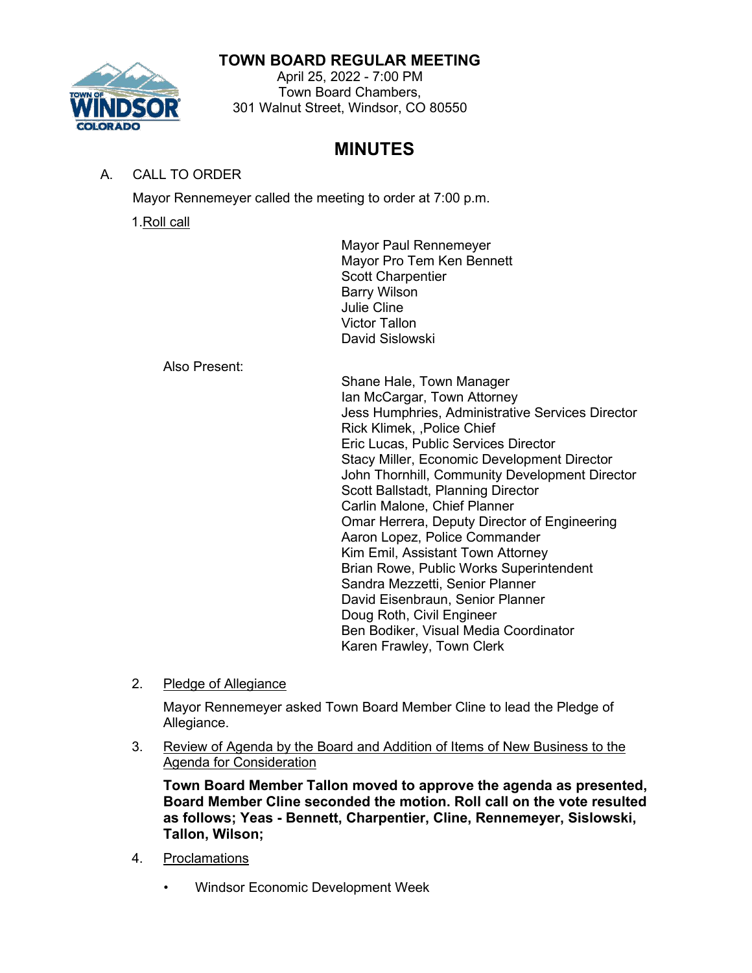## **TOWN BOARD REGULAR MEETING**



#### April 25, 2022 - 7:00 PM Town Board Chambers, 301 Walnut Street, Windsor, CO 80550

# **MINUTES**

# A. CALL TO ORDER

Mayor Rennemeyer called the meeting to order at 7:00 p.m.

1.Roll call

Mayor Paul Rennemeyer Mayor Pro Tem Ken Bennett Scott Charpentier Barry Wilson Julie Cline Victor Tallon David Sislowski

Also Present:

Shane Hale, Town Manager Ian McCargar, Town Attorney Jess Humphries, Administrative Services Director Rick Klimek, ,Police Chief Eric Lucas, Public Services Director Stacy Miller, Economic Development Director John Thornhill, Community Development Director Scott Ballstadt, Planning Director Carlin Malone, Chief Planner Omar Herrera, Deputy Director of Engineering Aaron Lopez, Police Commander Kim Emil, Assistant Town Attorney Brian Rowe, Public Works Superintendent Sandra Mezzetti, Senior Planner David Eisenbraun, Senior Planner Doug Roth, Civil Engineer Ben Bodiker, Visual Media Coordinator Karen Frawley, Town Clerk

2. Pledge of Allegiance

Mayor Rennemeyer asked Town Board Member Cline to lead the Pledge of Allegiance.

3. Review of Agenda by the Board and Addition of Items of New Business to the Agenda for Consideration

**Town Board Member Tallon moved to approve the agenda as presented, Board Member Cline seconded the motion. Roll call on the vote resulted as follows; Yeas - Bennett, Charpentier, Cline, Rennemeyer, Sislowski, Tallon, Wilson;**

- 4. Proclamations
	- Windsor Economic Development Week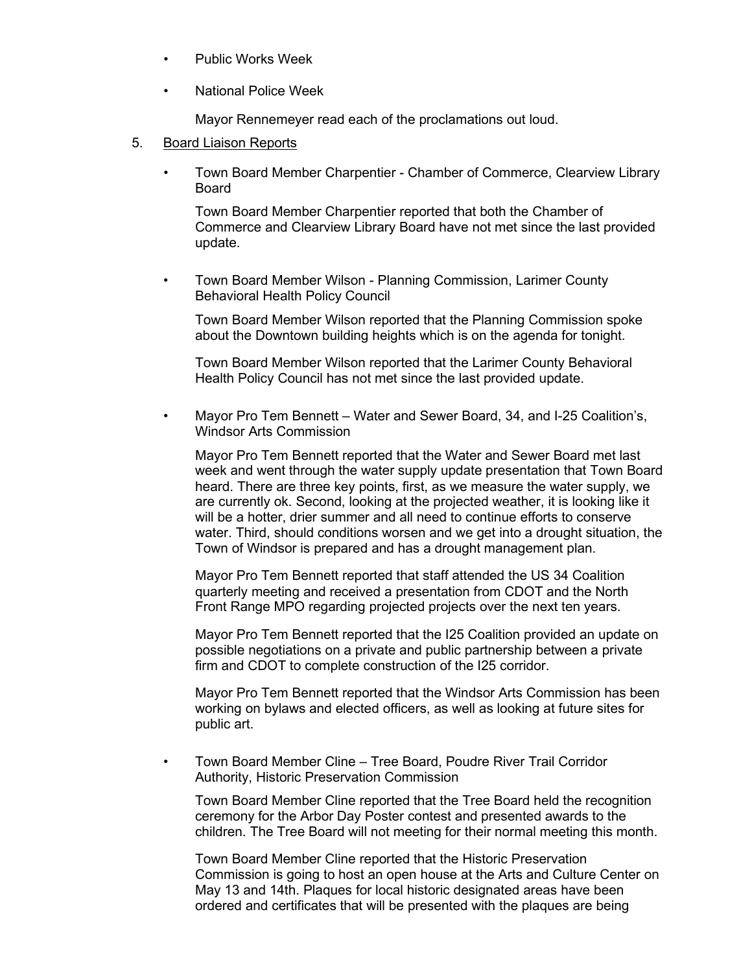- Public Works Week
- National Police Week

Mayor Rennemeyer read each of the proclamations out loud.

- 5. Board Liaison Reports
	- Town Board Member Charpentier Chamber of Commerce, Clearview Library Board

Town Board Member Charpentier reported that both the Chamber of Commerce and Clearview Library Board have not met since the last provided update.

• Town Board Member Wilson - Planning Commission, Larimer County Behavioral Health Policy Council

Town Board Member Wilson reported that the Planning Commission spoke about the Downtown building heights which is on the agenda for tonight.

Town Board Member Wilson reported that the Larimer County Behavioral Health Policy Council has not met since the last provided update.

• Mayor Pro Tem Bennett – Water and Sewer Board, 34, and I-25 Coalition's, Windsor Arts Commission

Mayor Pro Tem Bennett reported that the Water and Sewer Board met last week and went through the water supply update presentation that Town Board heard. There are three key points, first, as we measure the water supply, we are currently ok. Second, looking at the projected weather, it is looking like it will be a hotter, drier summer and all need to continue efforts to conserve water. Third, should conditions worsen and we get into a drought situation, the Town of Windsor is prepared and has a drought management plan.

Mayor Pro Tem Bennett reported that staff attended the US 34 Coalition quarterly meeting and received a presentation from CDOT and the North Front Range MPO regarding projected projects over the next ten years.

Mayor Pro Tem Bennett reported that the I25 Coalition provided an update on possible negotiations on a private and public partnership between a private firm and CDOT to complete construction of the I25 corridor.

Mayor Pro Tem Bennett reported that the Windsor Arts Commission has been working on bylaws and elected officers, as well as looking at future sites for public art.

• Town Board Member Cline – Tree Board, Poudre River Trail Corridor Authority, Historic Preservation Commission

Town Board Member Cline reported that the Tree Board held the recognition ceremony for the Arbor Day Poster contest and presented awards to the children. The Tree Board will not meeting for their normal meeting this month.

Town Board Member Cline reported that the Historic Preservation Commission is going to host an open house at the Arts and Culture Center on May 13 and 14th. Plaques for local historic designated areas have been ordered and certificates that will be presented with the plaques are being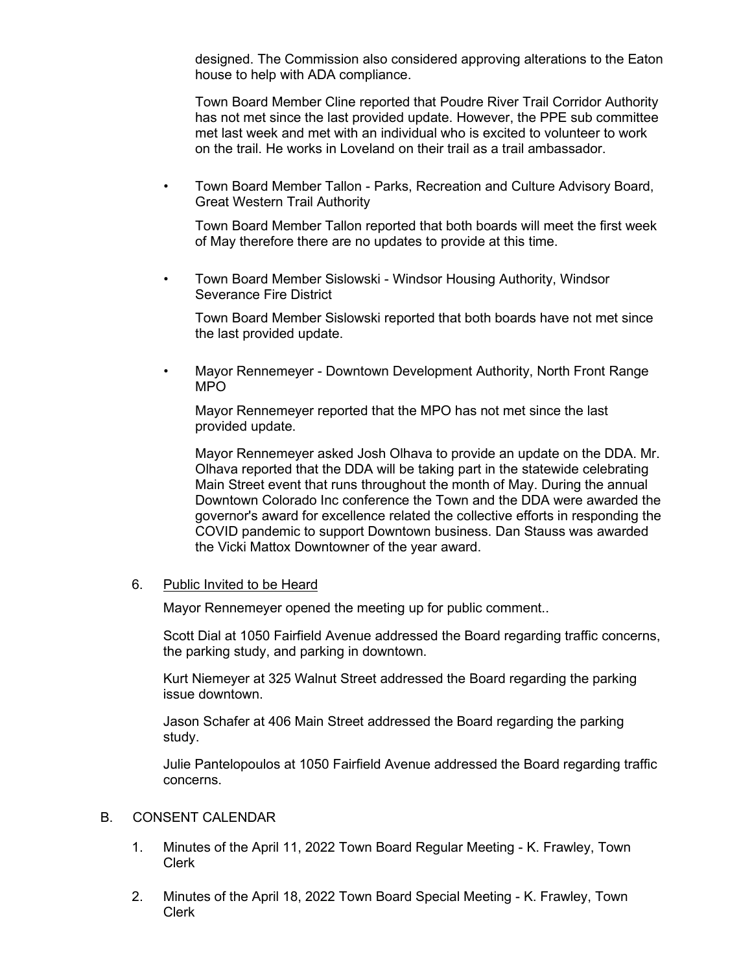designed. The Commission also considered approving alterations to the Eaton house to help with ADA compliance.

Town Board Member Cline reported that Poudre River Trail Corridor Authority has not met since the last provided update. However, the PPE sub committee met last week and met with an individual who is excited to volunteer to work on the trail. He works in Loveland on their trail as a trail ambassador.

• Town Board Member Tallon - Parks, Recreation and Culture Advisory Board, Great Western Trail Authority

Town Board Member Tallon reported that both boards will meet the first week of May therefore there are no updates to provide at this time.

• Town Board Member Sislowski - Windsor Housing Authority, Windsor Severance Fire District

Town Board Member Sislowski reported that both boards have not met since the last provided update.

• Mayor Rennemeyer - Downtown Development Authority, North Front Range MPO

Mayor Rennemeyer reported that the MPO has not met since the last provided update.

Mayor Rennemeyer asked Josh Olhava to provide an update on the DDA. Mr. Olhava reported that the DDA will be taking part in the statewide celebrating Main Street event that runs throughout the month of May. During the annual Downtown Colorado Inc conference the Town and the DDA were awarded the governor's award for excellence related the collective efforts in responding the COVID pandemic to support Downtown business. Dan Stauss was awarded the Vicki Mattox Downtowner of the year award.

#### 6. Public Invited to be Heard

Mayor Rennemeyer opened the meeting up for public comment..

Scott Dial at 1050 Fairfield Avenue addressed the Board regarding traffic concerns, the parking study, and parking in downtown.

Kurt Niemeyer at 325 Walnut Street addressed the Board regarding the parking issue downtown.

Jason Schafer at 406 Main Street addressed the Board regarding the parking study.

Julie Pantelopoulos at 1050 Fairfield Avenue addressed the Board regarding traffic concerns.

#### B. CONSENT CALENDAR

- 1. Minutes of the April 11, 2022 Town Board Regular Meeting K. Frawley, Town Clerk
- 2. Minutes of the April 18, 2022 Town Board Special Meeting K. Frawley, Town Clerk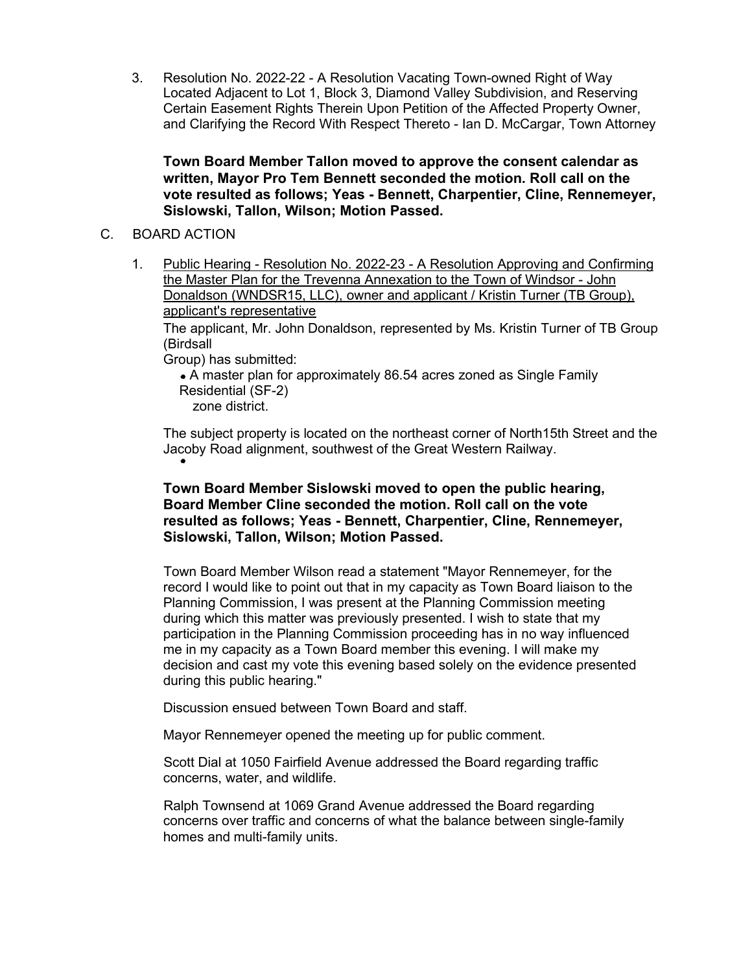3. Resolution No. 2022-22 - A Resolution Vacating Town-owned Right of Way Located Adjacent to Lot 1, Block 3, Diamond Valley Subdivision, and Reserving Certain Easement Rights Therein Upon Petition of the Affected Property Owner, and Clarifying the Record With Respect Thereto - Ian D. McCargar, Town Attorney

**Town Board Member Tallon moved to approve the consent calendar as written, Mayor Pro Tem Bennett seconded the motion. Roll call on the vote resulted as follows; Yeas - Bennett, Charpentier, Cline, Rennemeyer, Sislowski, Tallon, Wilson; Motion Passed.**

- C. BOARD ACTION
	- 1. Public Hearing Resolution No. 2022-23 A Resolution Approving and Confirming the Master Plan for the Trevenna Annexation to the Town of Windsor - John Donaldson (WNDSR15, LLC), owner and applicant / Kristin Turner (TB Group), applicant's representative

The applicant, Mr. John Donaldson, represented by Ms. Kristin Turner of TB Group (Birdsall

Group) has submitted:

A master plan for approximately 86.54 acres zoned as Single Family Residential (SF-2)

zone district.

The subject property is located on the northeast corner of North15th Street and the Jacoby Road alignment, southwest of the Great Western Railway.

## **Town Board Member Sislowski moved to open the public hearing, Board Member Cline seconded the motion. Roll call on the vote resulted as follows; Yeas - Bennett, Charpentier, Cline, Rennemeyer, Sislowski, Tallon, Wilson; Motion Passed.**

Town Board Member Wilson read a statement "Mayor Rennemeyer, for the record I would like to point out that in my capacity as Town Board liaison to the Planning Commission, I was present at the Planning Commission meeting during which this matter was previously presented. I wish to state that my participation in the Planning Commission proceeding has in no way influenced me in my capacity as a Town Board member this evening. I will make my decision and cast my vote this evening based solely on the evidence presented during this public hearing."

Discussion ensued between Town Board and staff.

Mayor Rennemeyer opened the meeting up for public comment.

Scott Dial at 1050 Fairfield Avenue addressed the Board regarding traffic concerns, water, and wildlife.

Ralph Townsend at 1069 Grand Avenue addressed the Board regarding concerns over traffic and concerns of what the balance between single-family homes and multi-family units.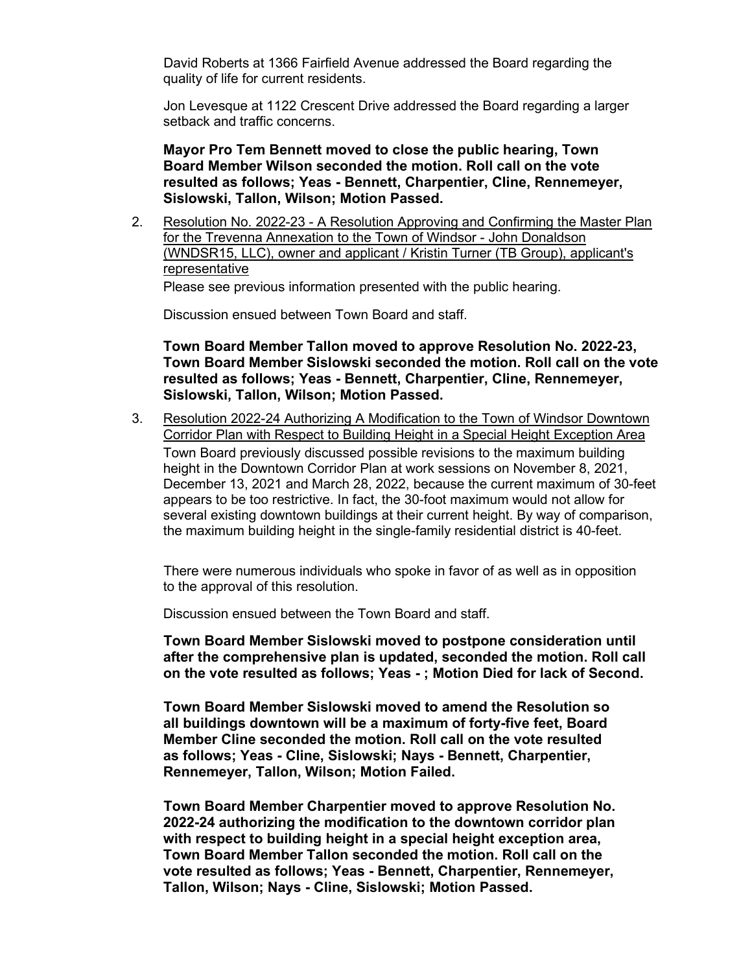David Roberts at 1366 Fairfield Avenue addressed the Board regarding the quality of life for current residents.

Jon Levesque at 1122 Crescent Drive addressed the Board regarding a larger setback and traffic concerns.

**Mayor Pro Tem Bennett moved to close the public hearing, Town Board Member Wilson seconded the motion. Roll call on the vote resulted as follows; Yeas - Bennett, Charpentier, Cline, Rennemeyer, Sislowski, Tallon, Wilson; Motion Passed.**

2. Resolution No. 2022-23 - A Resolution Approving and Confirming the Master Plan for the Trevenna Annexation to the Town of Windsor - John Donaldson (WNDSR15, LLC), owner and applicant / Kristin Turner (TB Group), applicant's representative

Please see previous information presented with the public hearing.

Discussion ensued between Town Board and staff.

**Town Board Member Tallon moved to approve Resolution No. 2022-23, Town Board Member Sislowski seconded the motion. Roll call on the vote resulted as follows; Yeas - Bennett, Charpentier, Cline, Rennemeyer, Sislowski, Tallon, Wilson; Motion Passed.**

3. Resolution 2022-24 Authorizing A Modification to the Town of Windsor Downtown Corridor Plan with Respect to Building Height in a Special Height Exception Area Town Board previously discussed possible revisions to the maximum building height in the Downtown Corridor Plan at work sessions on November 8, 2021, December 13, 2021 and March 28, 2022, because the current maximum of 30-feet appears to be too restrictive. In fact, the 30-foot maximum would not allow for several existing downtown buildings at their current height. By way of comparison, the maximum building height in the single-family residential district is 40-feet.

There were numerous individuals who spoke in favor of as well as in opposition to the approval of this resolution.

Discussion ensued between the Town Board and staff.

**Town Board Member Sislowski moved to postpone consideration until after the comprehensive plan is updated, seconded the motion. Roll call on the vote resulted as follows; Yeas - ; Motion Died for lack of Second.**

**Town Board Member Sislowski moved to amend the Resolution so all buildings downtown will be a maximum of forty-five feet, Board Member Cline seconded the motion. Roll call on the vote resulted as follows; Yeas - Cline, Sislowski; Nays - Bennett, Charpentier, Rennemeyer, Tallon, Wilson; Motion Failed.**

**Town Board Member Charpentier moved to approve Resolution No. 2022-24 authorizing the modification to the downtown corridor plan with respect to building height in a special height exception area, Town Board Member Tallon seconded the motion. Roll call on the vote resulted as follows; Yeas - Bennett, Charpentier, Rennemeyer, Tallon, Wilson; Nays - Cline, Sislowski; Motion Passed.**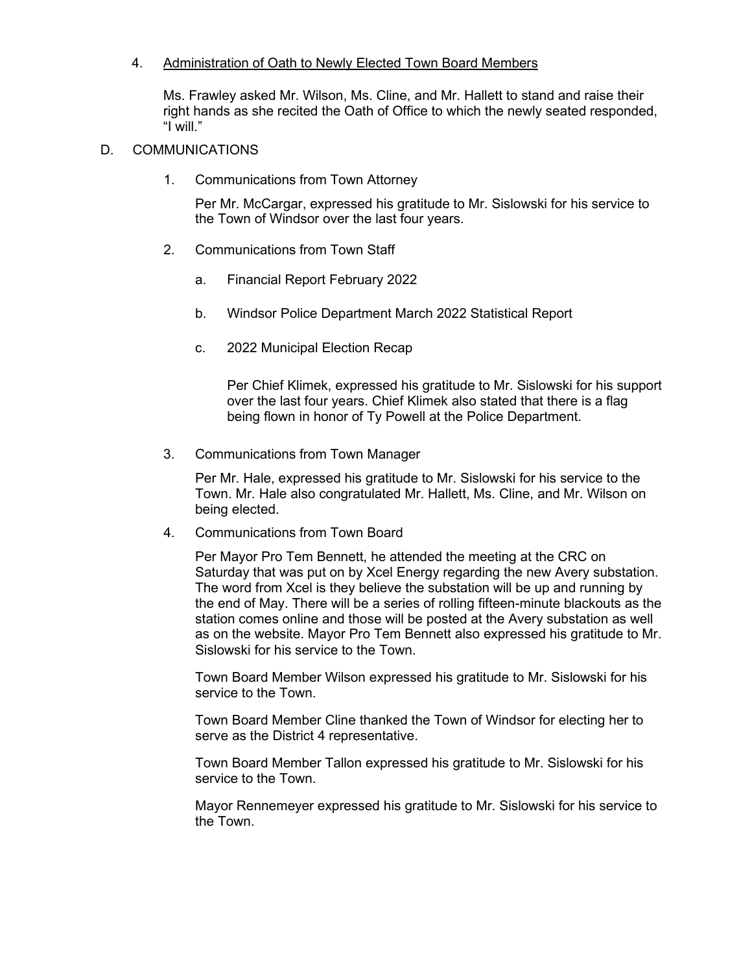#### 4. Administration of Oath to Newly Elected Town Board Members

Ms. Frawley asked Mr. Wilson, Ms. Cline, and Mr. Hallett to stand and raise their right hands as she recited the Oath of Office to which the newly seated responded, "I will."

## D. COMMUNICATIONS

1. Communications from Town Attorney

Per Mr. McCargar, expressed his gratitude to Mr. Sislowski for his service to the Town of Windsor over the last four years.

- 2. Communications from Town Staff
	- a. Financial Report February 2022
	- b. Windsor Police Department March 2022 Statistical Report
	- c. 2022 Municipal Election Recap

Per Chief Klimek, expressed his gratitude to Mr. Sislowski for his support over the last four years. Chief Klimek also stated that there is a flag being flown in honor of Ty Powell at the Police Department.

3. Communications from Town Manager

Per Mr. Hale, expressed his gratitude to Mr. Sislowski for his service to the Town. Mr. Hale also congratulated Mr. Hallett, Ms. Cline, and Mr. Wilson on being elected.

4. Communications from Town Board

Per Mayor Pro Tem Bennett, he attended the meeting at the CRC on Saturday that was put on by Xcel Energy regarding the new Avery substation. The word from Xcel is they believe the substation will be up and running by the end of May. There will be a series of rolling fifteen-minute blackouts as the station comes online and those will be posted at the Avery substation as well as on the website. Mayor Pro Tem Bennett also expressed his gratitude to Mr. Sislowski for his service to the Town.

Town Board Member Wilson expressed his gratitude to Mr. Sislowski for his service to the Town.

Town Board Member Cline thanked the Town of Windsor for electing her to serve as the District 4 representative.

Town Board Member Tallon expressed his gratitude to Mr. Sislowski for his service to the Town.

Mayor Rennemeyer expressed his gratitude to Mr. Sislowski for his service to the Town.